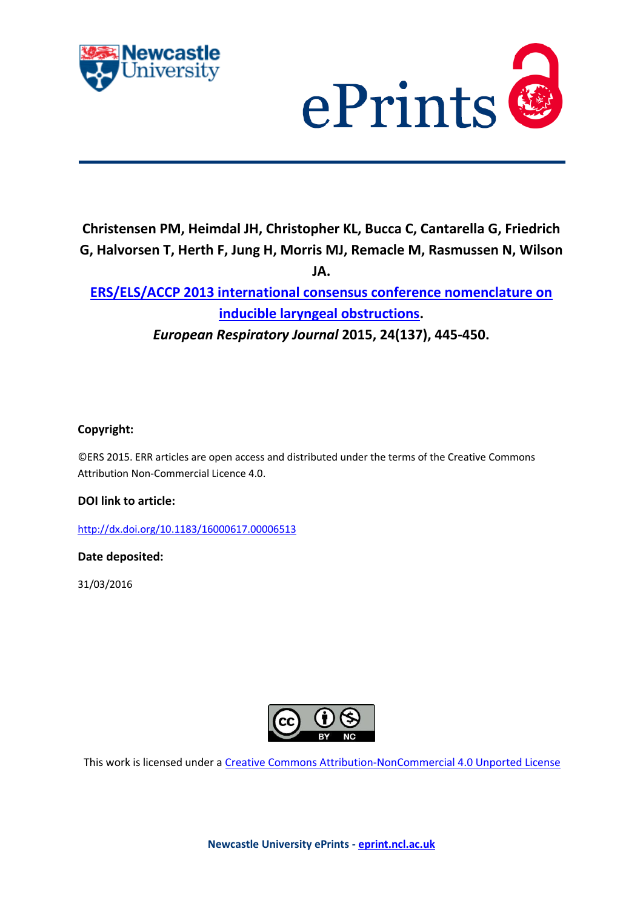



# **Christensen PM, Heimdal JH, Christopher KL, Bucca C, Cantarella G, Friedrich G, Halvorsen T, Herth F, Jung H, Morris MJ, Remacle M, Rasmussen N, Wilson JA.**

# **[ERS/ELS/ACCP 2013 international consensus conference nomenclature on](javascript:ViewPublication(215203);)  [inducible laryngeal obstructions.](javascript:ViewPublication(215203);)**  *European Respiratory Journal* **2015, 24(137), 445-450.**

## **Copyright:**

©ERS 2015. ERR articles are open access and distributed under the terms of the Creative Commons Attribution Non-Commercial Licence 4.0.

## **DOI link to article:**

<http://dx.doi.org/10.1183/16000617.00006513>

## **Date deposited:**

31/03/2016



This work is licensed under a [Creative Commons Attribution-NonCommercial](http://creativecommons.org/licenses/by-nc/3.0/deed.en_GB) 4.0 Unported License

**Newcastle University ePrints - [eprint.ncl.ac.uk](http://eprint.ncl.ac.uk/)**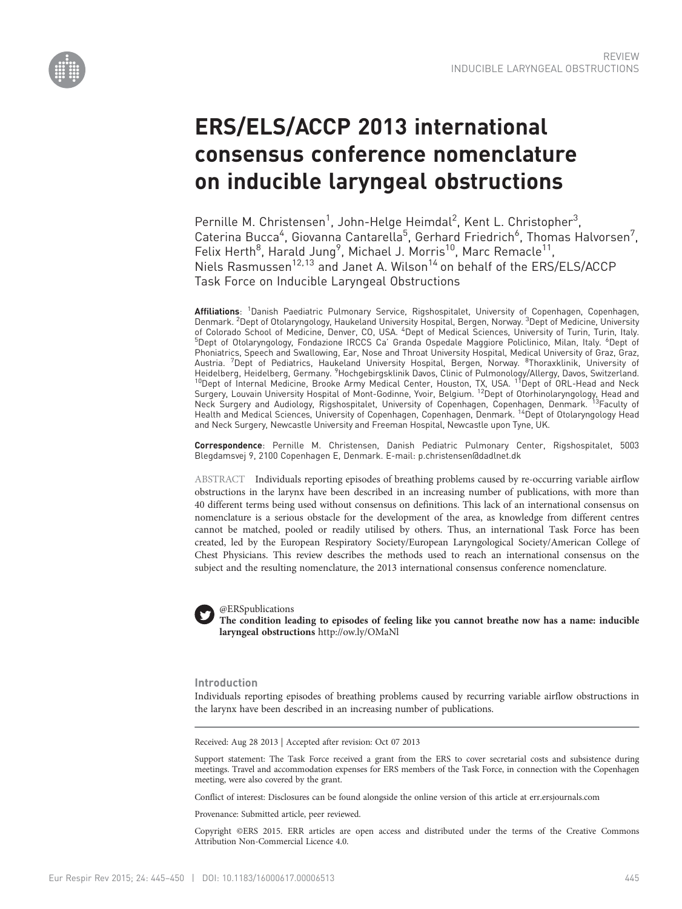

# ERS/ELS/ACCP 2013 international consensus conference nomenclature on inducible laryngeal obstructions

Pernille M. Christensen<sup>1</sup>, John-Helge Heimdal<sup>2</sup>, Kent L. Christopher<sup>3</sup>, Caterina Bucca<sup>4</sup>, Giovanna Cantarella<sup>5</sup>, Gerhard Friedrich<sup>6</sup>, Thomas Halvorsen<sup>7</sup>, Felix Herth<sup>8</sup>, Harald Jung<sup>9</sup>, Michael J. Morris<sup>10</sup>, Marc Remacle<sup>11</sup>, Niels Rasmussen<sup>12,13</sup> and Janet A. Wilson<sup>14</sup> on behalf of the ERS/ELS/ACCP Task Force on Inducible Laryngeal Obstructions

Affiliations: <sup>1</sup>Danish Paediatric Pulmonary Service, Rigshospitalet, University of Copenhagen, Copenhagen, Denmark. <sup>2</sup>Dept of Otolaryngology, Haukeland University Hospital, Bergen, Norway. <sup>3</sup>Dept of Medicine, University of Colorado School of Medicine, Denver, CO, USA. <sup>4</sup>Dept of Medical Sciences, University of Turin, Turin, Italy.<br><sup>5</sup>Dept of Otelaryngelegy, Eondazione IBCCS Co, Granda Ospedale Maggiore Peliclinice, Milan, Italy. <sup>6</sup>Dept o Dept of Otolaryngology, Fondazione IRCCS Ca' Granda Ospedale Maggiore Policlinico, Milan, Italy. <sup>6</sup>Dept of Phoniatrics, Speech and Swallowing, Ear, Nose and Throat University Hospital, Medical University of Graz, Graz,<br>Austria. <sup>7</sup>Dept of Pediatrics, Haukeland University Hospital, Bergen, Norway. <sup>8</sup>Thoraxklinik, Universit Surgery, Louvain University Hospital of Mont-Godinne, Yvoir, Belgium. <sup>12</sup>Dept of Otorhinolaryngology, Head and Neck Surgery and Audiology, Rigshospitalet, University of Copenhagen, Copenhagen, Denmark. 13Faculty of Health and Medical Sciences, University of Copenhagen, Copenhagen, Denmark. 14Dept of Otolaryngology Head and Neck Surgery, Newcastle University and Freeman Hospital, Newcastle upon Tyne, UK.

Correspondence: Pernille M. Christensen, Danish Pediatric Pulmonary Center, Rigshospitalet, 5003 Blegdamsvej 9, 2100 Copenhagen E, Denmark. E-mail: [p.christensen@dadlnet.dk](mailto:p.christensen@dadlnet.dk)

ABSTRACT Individuals reporting episodes of breathing problems caused by re-occurring variable airflow obstructions in the larynx have been described in an increasing number of publications, with more than 40 different terms being used without consensus on definitions. This lack of an international consensus on nomenclature is a serious obstacle for the development of the area, as knowledge from different centres cannot be matched, pooled or readily utilised by others. Thus, an international Task Force has been created, led by the European Respiratory Society/European Laryngological Society/American College of Chest Physicians. This review describes the methods used to reach an international consensus on the subject and the resulting nomenclature, the 2013 international consensus conference nomenclature.



@ERSpublications

The condition leading to episodes of feeling like you cannot breathe now has a name: inducible laryngeal obstructions <http://ow.ly/OMaNl>

#### Introduction

Individuals reporting episodes of breathing problems caused by recurring variable airflow obstructions in the larynx have been described in an increasing number of publications.

Received: Aug 28 2013 | Accepted after revision: Oct 07 2013

Support statement: The Task Force received a grant from the ERS to cover secretarial costs and subsistence during meetings. Travel and accommodation expenses for ERS members of the Task Force, in connection with the Copenhagen meeting, were also covered by the grant.

Conflict of interest: Disclosures can be found alongside the online version of this article at<err.ersjournals.com>

Provenance: Submitted article, peer reviewed.

Copyright ©ERS 2015. ERR articles are open access and distributed under the terms of the Creative Commons Attribution Non-Commercial Licence 4.0.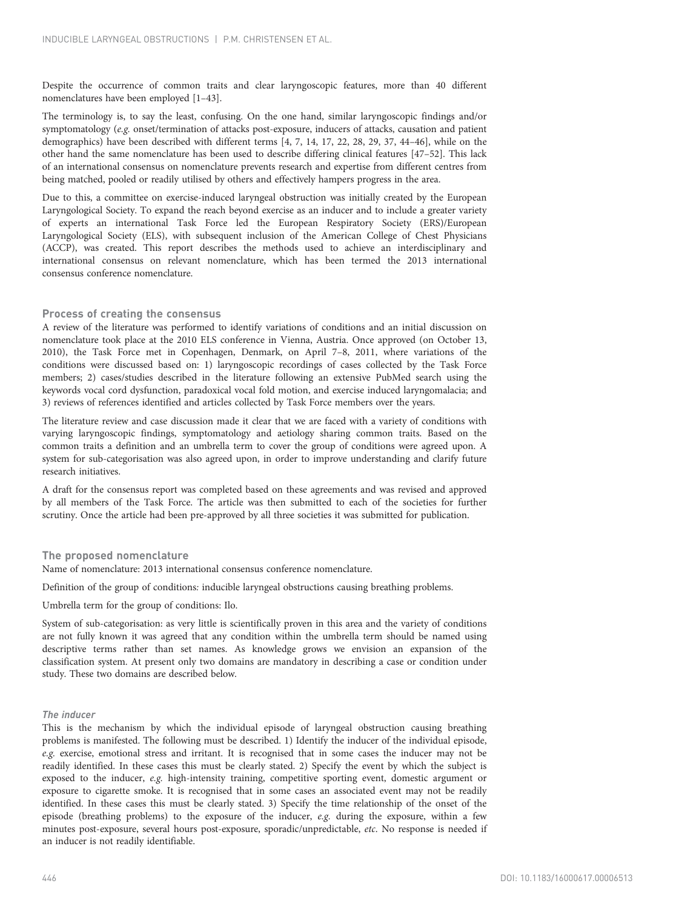Despite the occurrence of common traits and clear laryngoscopic features, more than 40 different nomenclatures have been employed [\[1](#page-5-0)–[43\]](#page-6-0).

The terminology is, to say the least, confusing. On the one hand, similar laryngoscopic findings and/or symptomatology (e.g. onset/termination of attacks post-exposure, inducers of attacks, causation and patient demographics) have been described with different terms [[4, 7](#page-5-0), [14, 17, 22](#page-5-0), [28, 29, 37](#page-6-0), [44](#page-6-0)–[46](#page-6-0)], while on the other hand the same nomenclature has been used to describe differing clinical features [\[47](#page-6-0)–[52\]](#page-6-0). This lack of an international consensus on nomenclature prevents research and expertise from different centres from being matched, pooled or readily utilised by others and effectively hampers progress in the area.

Due to this, a committee on exercise-induced laryngeal obstruction was initially created by the European Laryngological Society. To expand the reach beyond exercise as an inducer and to include a greater variety of experts an international Task Force led the European Respiratory Society (ERS)/European Laryngological Society (ELS), with subsequent inclusion of the American College of Chest Physicians (ACCP), was created. This report describes the methods used to achieve an interdisciplinary and international consensus on relevant nomenclature, which has been termed the 2013 international consensus conference nomenclature.

#### Process of creating the consensus

A review of the literature was performed to identify variations of conditions and an initial discussion on nomenclature took place at the 2010 ELS conference in Vienna, Austria. Once approved (on October 13, 2010), the Task Force met in Copenhagen, Denmark, on April 7–8, 2011, where variations of the conditions were discussed based on: 1) laryngoscopic recordings of cases collected by the Task Force members; 2) cases/studies described in the literature following an extensive PubMed search using the keywords vocal cord dysfunction, paradoxical vocal fold motion, and exercise induced laryngomalacia; and 3) reviews of references identified and articles collected by Task Force members over the years.

The literature review and case discussion made it clear that we are faced with a variety of conditions with varying laryngoscopic findings, symptomatology and aetiology sharing common traits. Based on the common traits a definition and an umbrella term to cover the group of conditions were agreed upon. A system for sub-categorisation was also agreed upon, in order to improve understanding and clarify future research initiatives.

A draft for the consensus report was completed based on these agreements and was revised and approved by all members of the Task Force. The article was then submitted to each of the societies for further scrutiny. Once the article had been pre-approved by all three societies it was submitted for publication.

The proposed nomenclature

Name of nomenclature: 2013 international consensus conference nomenclature.

Definition of the group of conditions: inducible laryngeal obstructions causing breathing problems.

Umbrella term for the group of conditions: Ilo.

System of sub-categorisation: as very little is scientifically proven in this area and the variety of conditions are not fully known it was agreed that any condition within the umbrella term should be named using descriptive terms rather than set names. As knowledge grows we envision an expansion of the classification system. At present only two domains are mandatory in describing a case or condition under study. These two domains are described below.

#### The inducer

This is the mechanism by which the individual episode of laryngeal obstruction causing breathing problems is manifested. The following must be described. 1) Identify the inducer of the individual episode, e.g. exercise, emotional stress and irritant. It is recognised that in some cases the inducer may not be readily identified. In these cases this must be clearly stated. 2) Specify the event by which the subject is exposed to the inducer, e.g. high-intensity training, competitive sporting event, domestic argument or exposure to cigarette smoke. It is recognised that in some cases an associated event may not be readily identified. In these cases this must be clearly stated. 3) Specify the time relationship of the onset of the episode (breathing problems) to the exposure of the inducer, e.g. during the exposure, within a few minutes post-exposure, several hours post-exposure, sporadic/unpredictable, etc. No response is needed if an inducer is not readily identifiable.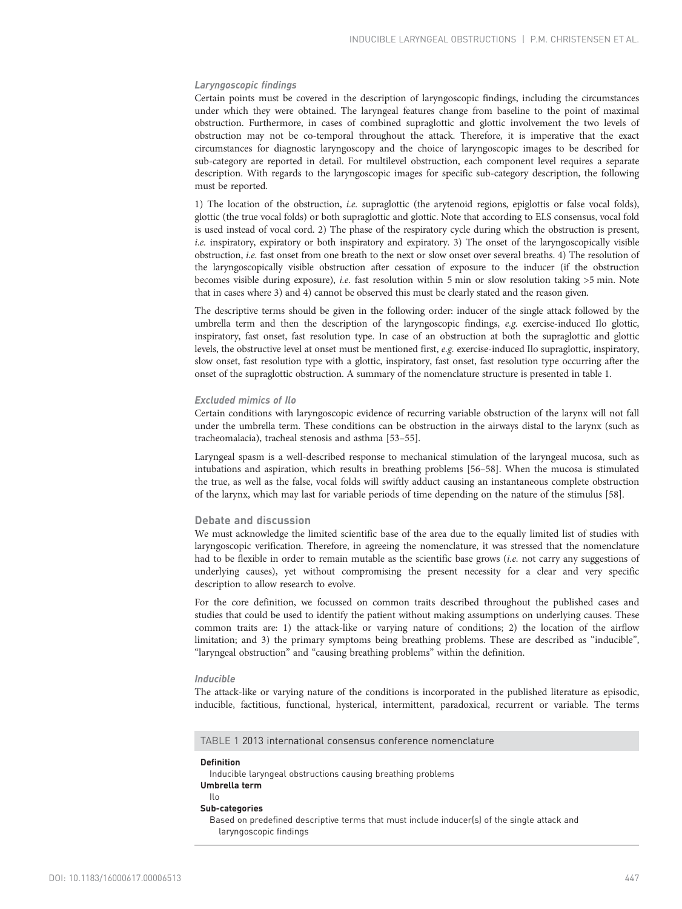#### Laryngoscopic findings

Certain points must be covered in the description of laryngoscopic findings, including the circumstances under which they were obtained. The laryngeal features change from baseline to the point of maximal obstruction. Furthermore, in cases of combined supraglottic and glottic involvement the two levels of obstruction may not be co-temporal throughout the attack. Therefore, it is imperative that the exact circumstances for diagnostic laryngoscopy and the choice of laryngoscopic images to be described for sub-category are reported in detail. For multilevel obstruction, each component level requires a separate description. With regards to the laryngoscopic images for specific sub-category description, the following must be reported.

1) The location of the obstruction, i.e. supraglottic (the arytenoid regions, epiglottis or false vocal folds), glottic (the true vocal folds) or both supraglottic and glottic. Note that according to ELS consensus, vocal fold is used instead of vocal cord. 2) The phase of the respiratory cycle during which the obstruction is present, i.e. inspiratory, expiratory or both inspiratory and expiratory. 3) The onset of the laryngoscopically visible obstruction, i.e. fast onset from one breath to the next or slow onset over several breaths. 4) The resolution of the laryngoscopically visible obstruction after cessation of exposure to the inducer (if the obstruction becomes visible during exposure), i.e. fast resolution within 5 min or slow resolution taking >5 min. Note that in cases where 3) and 4) cannot be observed this must be clearly stated and the reason given.

The descriptive terms should be given in the following order: inducer of the single attack followed by the umbrella term and then the description of the laryngoscopic findings, e.g. exercise-induced Ilo glottic, inspiratory, fast onset, fast resolution type. In case of an obstruction at both the supraglottic and glottic levels, the obstructive level at onset must be mentioned first, e.g. exercise-induced Ilo supraglottic, inspiratory, slow onset, fast resolution type with a glottic, inspiratory, fast onset, fast resolution type occurring after the onset of the supraglottic obstruction. A summary of the nomenclature structure is presented in table 1.

#### Excluded mimics of Ilo

Certain conditions with laryngoscopic evidence of recurring variable obstruction of the larynx will not fall under the umbrella term. These conditions can be obstruction in the airways distal to the larynx (such as tracheomalacia), tracheal stenosis and asthma [\[53](#page-6-0)–[55](#page-6-0)].

Laryngeal spasm is a well-described response to mechanical stimulation of the laryngeal mucosa, such as intubations and aspiration, which results in breathing problems [[56](#page-6-0)–[58\]](#page-6-0). When the mucosa is stimulated the true, as well as the false, vocal folds will swiftly adduct causing an instantaneous complete obstruction of the larynx, which may last for variable periods of time depending on the nature of the stimulus [[58](#page-6-0)].

#### Debate and discussion

We must acknowledge the limited scientific base of the area due to the equally limited list of studies with laryngoscopic verification. Therefore, in agreeing the nomenclature, it was stressed that the nomenclature had to be flexible in order to remain mutable as the scientific base grows (i.e. not carry any suggestions of underlying causes), yet without compromising the present necessity for a clear and very specific description to allow research to evolve.

For the core definition, we focussed on common traits described throughout the published cases and studies that could be used to identify the patient without making assumptions on underlying causes. These common traits are: 1) the attack-like or varying nature of conditions; 2) the location of the airflow limitation; and 3) the primary symptoms being breathing problems. These are described as "inducible", "laryngeal obstruction" and "causing breathing problems" within the definition.

#### Inducible

The attack-like or varying nature of the conditions is incorporated in the published literature as episodic, inducible, factitious, functional, hysterical, intermittent, paradoxical, recurrent or variable. The terms

#### TABLE 1 2013 international consensus conference nomenclature

#### Definition

Inducible laryngeal obstructions causing breathing problems Umbrella term

#### Ilo

Sub-categories

Based on predefined descriptive terms that must include inducer(s) of the single attack and laryngoscopic findings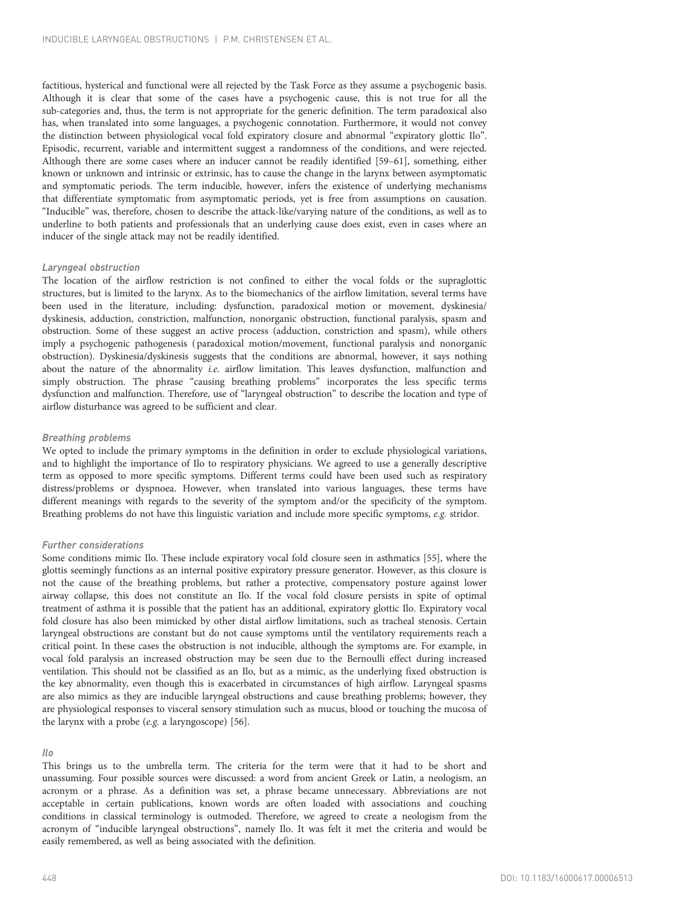factitious, hysterical and functional were all rejected by the Task Force as they assume a psychogenic basis. Although it is clear that some of the cases have a psychogenic cause, this is not true for all the sub-categories and, thus, the term is not appropriate for the generic definition. The term paradoxical also has, when translated into some languages, a psychogenic connotation. Furthermore, it would not convey the distinction between physiological vocal fold expiratory closure and abnormal "expiratory glottic Ilo". Episodic, recurrent, variable and intermittent suggest a randomness of the conditions, and were rejected. Although there are some cases where an inducer cannot be readily identified [[59](#page-6-0)–[61\]](#page-6-0), something, either known or unknown and intrinsic or extrinsic, has to cause the change in the larynx between asymptomatic and symptomatic periods. The term inducible, however, infers the existence of underlying mechanisms that differentiate symptomatic from asymptomatic periods, yet is free from assumptions on causation. "Inducible" was, therefore, chosen to describe the attack-like/varying nature of the conditions, as well as to underline to both patients and professionals that an underlying cause does exist, even in cases where an inducer of the single attack may not be readily identified.

#### Laryngeal obstruction

The location of the airflow restriction is not confined to either the vocal folds or the supraglottic structures, but is limited to the larynx. As to the biomechanics of the airflow limitation, several terms have been used in the literature, including: dysfunction, paradoxical motion or movement, dyskinesia/ dyskinesis, adduction, constriction, malfunction, nonorganic obstruction, functional paralysis, spasm and obstruction. Some of these suggest an active process (adduction, constriction and spasm), while others imply a psychogenic pathogenesis ( paradoxical motion/movement, functional paralysis and nonorganic obstruction). Dyskinesia/dyskinesis suggests that the conditions are abnormal, however, it says nothing about the nature of the abnormality i.e. airflow limitation. This leaves dysfunction, malfunction and simply obstruction. The phrase "causing breathing problems" incorporates the less specific terms dysfunction and malfunction. Therefore, use of "laryngeal obstruction" to describe the location and type of airflow disturbance was agreed to be sufficient and clear.

#### Breathing problems

We opted to include the primary symptoms in the definition in order to exclude physiological variations, and to highlight the importance of Ilo to respiratory physicians. We agreed to use a generally descriptive term as opposed to more specific symptoms. Different terms could have been used such as respiratory distress/problems or dyspnoea. However, when translated into various languages, these terms have different meanings with regards to the severity of the symptom and/or the specificity of the symptom. Breathing problems do not have this linguistic variation and include more specific symptoms, e.g. stridor.

#### Further considerations

Some conditions mimic Ilo. These include expiratory vocal fold closure seen in asthmatics [[55](#page-6-0)], where the glottis seemingly functions as an internal positive expiratory pressure generator. However, as this closure is not the cause of the breathing problems, but rather a protective, compensatory posture against lower airway collapse, this does not constitute an Ilo. If the vocal fold closure persists in spite of optimal treatment of asthma it is possible that the patient has an additional, expiratory glottic Ilo. Expiratory vocal fold closure has also been mimicked by other distal airflow limitations, such as tracheal stenosis. Certain laryngeal obstructions are constant but do not cause symptoms until the ventilatory requirements reach a critical point. In these cases the obstruction is not inducible, although the symptoms are. For example, in vocal fold paralysis an increased obstruction may be seen due to the Bernoulli effect during increased ventilation. This should not be classified as an Ilo, but as a mimic, as the underlying fixed obstruction is the key abnormality, even though this is exacerbated in circumstances of high airflow. Laryngeal spasms are also mimics as they are inducible laryngeal obstructions and cause breathing problems; however, they are physiological responses to visceral sensory stimulation such as mucus, blood or touching the mucosa of the larynx with a probe (e.g. a laryngoscope) [\[56](#page-6-0)].

#### Ilo

This brings us to the umbrella term. The criteria for the term were that it had to be short and unassuming. Four possible sources were discussed: a word from ancient Greek or Latin, a neologism, an acronym or a phrase. As a definition was set, a phrase became unnecessary. Abbreviations are not acceptable in certain publications, known words are often loaded with associations and couching conditions in classical terminology is outmoded. Therefore, we agreed to create a neologism from the acronym of "inducible laryngeal obstructions", namely Ilo. It was felt it met the criteria and would be easily remembered, as well as being associated with the definition.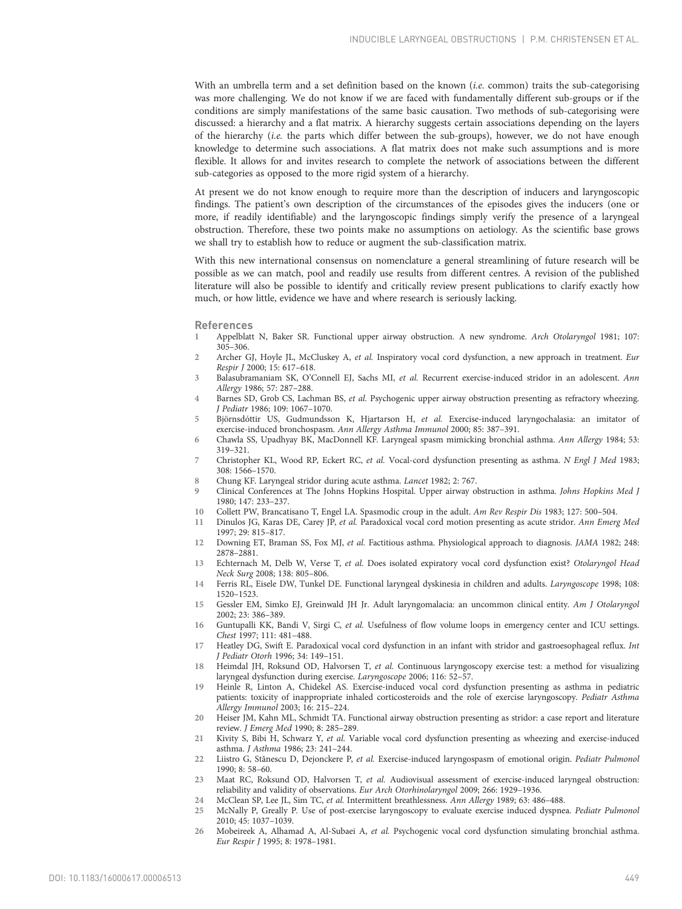<span id="page-5-0"></span>With an umbrella term and a set definition based on the known (*i.e.* common) traits the sub-categorising was more challenging. We do not know if we are faced with fundamentally different sub-groups or if the conditions are simply manifestations of the same basic causation. Two methods of sub-categorising were discussed: a hierarchy and a flat matrix. A hierarchy suggests certain associations depending on the layers of the hierarchy (i.e. the parts which differ between the sub-groups), however, we do not have enough knowledge to determine such associations. A flat matrix does not make such assumptions and is more flexible. It allows for and invites research to complete the network of associations between the different sub-categories as opposed to the more rigid system of a hierarchy.

At present we do not know enough to require more than the description of inducers and laryngoscopic findings. The patient's own description of the circumstances of the episodes gives the inducers (one or more, if readily identifiable) and the laryngoscopic findings simply verify the presence of a laryngeal obstruction. Therefore, these two points make no assumptions on aetiology. As the scientific base grows we shall try to establish how to reduce or augment the sub-classification matrix.

With this new international consensus on nomenclature a general streamlining of future research will be possible as we can match, pool and readily use results from different centres. A revision of the published literature will also be possible to identify and critically review present publications to clarify exactly how much, or how little, evidence we have and where research is seriously lacking.

#### References

- 1 Appelblatt N, Baker SR. Functional upper airway obstruction. A new syndrome. Arch Otolaryngol 1981; 107: 305–306.
- 2 Archer GJ, Hoyle JL, McCluskey A, et al. Inspiratory vocal cord dysfunction, a new approach in treatment. Eur Respir J 2000; 15: 617–618.
- 3 Balasubramaniam SK, O'Connell EJ, Sachs MI, et al. Recurrent exercise-induced stridor in an adolescent. Ann Allergy 1986; 57: 287–288.
- 4 Barnes SD, Grob CS, Lachman BS, et al. Psychogenic upper airway obstruction presenting as refractory wheezing. J Pediatr 1986; 109: 1067–1070.
- 5 Björnsdóttir US, Gudmundsson K, Hjartarson H, et al. Exercise-induced laryngochalasia: an imitator of exercise-induced bronchospasm. Ann Allergy Asthma Immunol 2000; 85: 387–391.
- 6 Chawla SS, Upadhyay BK, MacDonnell KF. Laryngeal spasm mimicking bronchial asthma. Ann Allergy 1984; 53: 319–321.
- 7 Christopher KL, Wood RP, Eckert RC, et al. Vocal-cord dysfunction presenting as asthma. N Engl J Med 1983; 308: 1566–1570.
- 8 Chung KF. Laryngeal stridor during acute asthma. *Lancet* 1982; 2: 767.<br>9 Clinical Conferences at The Johns Hopkins Hospital Upper airway o
- 9 Clinical Conferences at The Johns Hopkins Hospital. Upper airway obstruction in asthma. Johns Hopkins Med J 1980; 147: 233–237.
- 10 Collett PW, Brancatisano T, Engel LA. Spasmodic croup in the adult. Am Rev Respir Dis 1983; 127: 500–504.
- 11 Dinulos JG, Karas DE, Carey JP, et al. Paradoxical vocal cord motion presenting as acute stridor. Ann Emerg Med 1997; 29: 815–817.
- 12 Downing ET, Braman SS, Fox MJ, et al. Factitious asthma. Physiological approach to diagnosis. JAMA 1982; 248: 2878–2881.
- 13 Echternach M, Delb W, Verse T, et al. Does isolated expiratory vocal cord dysfunction exist? Otolaryngol Head Neck Surg 2008; 138: 805–806.
- 14 Ferris RL, Eisele DW, Tunkel DE. Functional laryngeal dyskinesia in children and adults. Laryngoscope 1998; 108: 1520–1523.
- 15 Gessler EM, Simko EJ, Greinwald JH Jr. Adult laryngomalacia: an uncommon clinical entity. Am J Otolaryngol 2002; 23: 386–389.
- 16 Guntupalli KK, Bandi V, Sirgi C, et al. Usefulness of flow volume loops in emergency center and ICU settings. Chest 1997; 111: 481–488.
- 17 Heatley DG, Swift E. Paradoxical vocal cord dysfunction in an infant with stridor and gastroesophageal reflux. Int J Pediatr Otorh 1996; 34: 149–151.
- 18 Heimdal JH, Roksund OD, Halvorsen T, et al. Continuous laryngoscopy exercise test: a method for visualizing laryngeal dysfunction during exercise. Laryngoscope 2006; 116: 52–57.
- 19 Heinle R, Linton A, Chidekel AS. Exercise-induced vocal cord dysfunction presenting as asthma in pediatric patients: toxicity of inappropriate inhaled corticosteroids and the role of exercise laryngoscopy. Pediatr Asthma Allergy Immunol 2003; 16: 215–224.
- 20 Heiser JM, Kahn ML, Schmidt TA. Functional airway obstruction presenting as stridor: a case report and literature review. J Emerg Med 1990; 8: 285–289.
- 21 Kivity S, Bibi H, Schwarz Y, et al. Variable vocal cord dysfunction presenting as wheezing and exercise-induced asthma. J Asthma 1986; 23: 241–244.
- 22 Liistro G, Stănescu D, Dejonckere P, et al. Exercise-induced laryngospasm of emotional origin. Pediatr Pulmonol 1990; 8: 58–60.
- 23 Maat RC, Roksund OD, Halvorsen T, et al. Audiovisual assessment of exercise-induced laryngeal obstruction: reliability and validity of observations. Eur Arch Otorhinolaryngol 2009; 266: 1929–1936.
- 24 McClean SP, Lee JL, Sim TC, et al. Intermittent breathlessness. Ann Allergy 1989; 63: 486–488.
- 25 McNally P, Greally P. Use of post-exercise laryngoscopy to evaluate exercise induced dyspnea. Pediatr Pulmonol 2010; 45: 1037–1039.
- 26 Mobeireek A, Alhamad A, Al-Subaei A, et al. Psychogenic vocal cord dysfunction simulating bronchial asthma. Eur Respir J 1995; 8: 1978–1981.